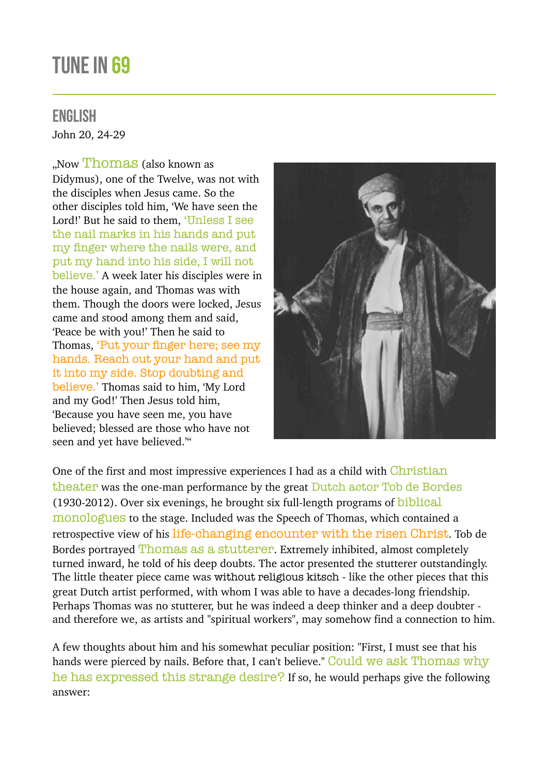## TUNE IN 69

## ENGLISH

John 20, 24-29

"Now Thomas (also known as Didymus), one of the Twelve, was not with the disciples when Jesus came. So the other disciples told him, 'We have seen the Lord!' But he said to them, 'Unless I see the nail marks in his hands and put my finger where the nails were, and put my hand into his side, I will not believe.' A week later his disciples were in the house again, and Thomas was with them. Though the doors were locked, Jesus came and stood among them and said, 'Peace be with you!' Then he said to Thomas, 'Put your finger here; see my hands. Reach out your hand and put it into my side. Stop doubting and believe.' Thomas said to him, 'My Lord and my God!' Then Jesus told him, 'Because you have seen me, you have believed; blessed are those who have not seen and yet have believed.'"



One of the first and most impressive experiences I had as a child with Christian theater was the one-man performance by the great Dutch actor Tob de Bordes (1930-2012). Over six evenings, he brought six full-length programs of biblical monologues to the stage. Included was the Speech of Thomas, which contained a retrospective view of his life-changing encounter with the risen Christ. Tob de Bordes portrayed Thomas as a stutterer. Extremely inhibited, almost completely turned inward, he told of his deep doubts. The actor presented the stutterer outstandingly. The little theater piece came was without religious kitsch - like the other pieces that this great Dutch artist performed, with whom I was able to have a decades-long friendship. Perhaps Thomas was no stutterer, but he was indeed a deep thinker and a deep doubter and therefore we, as artists and "spiritual workers", may somehow find a connection to him.

A few thoughts about him and his somewhat peculiar position: "First, I must see that his hands were pierced by nails. Before that, I can't believe." Could we ask Thomas why he has expressed this strange desire? If so, he would perhaps give the following answer: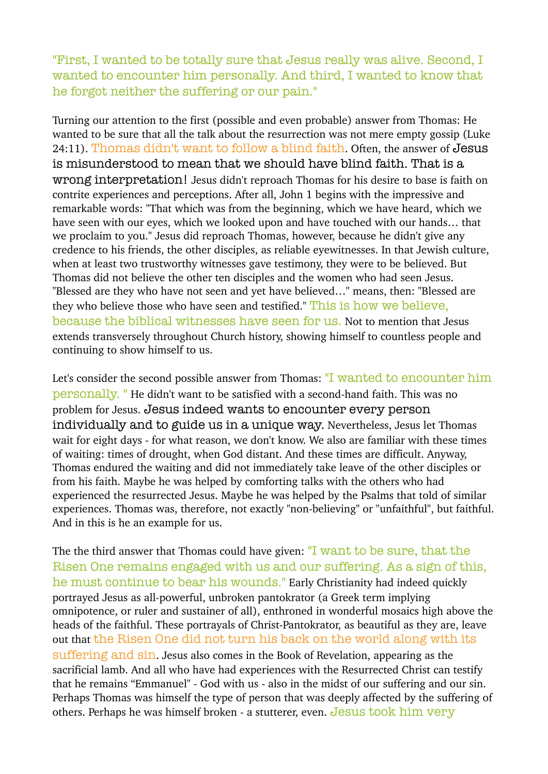"First, I wanted to be totally sure that Jesus really was alive. Second, I wanted to encounter him personally. And third, I wanted to know that he forgot neither the suffering or our pain."

Turning our attention to the first (possible and even probable) answer from Thomas: He wanted to be sure that all the talk about the resurrection was not mere empty gossip (Luke 24:11). Thomas didn't want to follow a blind faith. Often, the answer of Jesus is misunderstood to mean that we should have blind faith. That is a wrong interpretation! Jesus didn't reproach Thomas for his desire to base is faith on contrite experiences and perceptions. After all, John 1 begins with the impressive and remarkable words: "That which was from the beginning, which we have heard, which we have seen with our eyes, which we looked upon and have touched with our hands… that we proclaim to you." Jesus did reproach Thomas, however, because he didn't give any credence to his friends, the other disciples, as reliable eyewitnesses. In that Jewish culture, when at least two trustworthy witnesses gave testimony, they were to be believed. But Thomas did not believe the other ten disciples and the women who had seen Jesus. "Blessed are they who have not seen and yet have believed…" means, then: "Blessed are they who believe those who have seen and testified." This is how we believe, because the biblical witnesses have seen for us. Not to mention that Jesus extends transversely throughout Church history, showing himself to countless people and continuing to show himself to us.

Let's consider the second possible answer from Thomas: "I wanted to encounter him personally. " He didn't want to be satisfied with a second-hand faith. This was no problem for Jesus. Jesus indeed wants to encounter every person individually and to guide us in a unique way. Nevertheless, Jesus let Thomas wait for eight days - for what reason, we don't know. We also are familiar with these times of waiting: times of drought, when God distant. And these times are difficult. Anyway, Thomas endured the waiting and did not immediately take leave of the other disciples or from his faith. Maybe he was helped by comforting talks with the others who had experienced the resurrected Jesus. Maybe he was helped by the Psalms that told of similar experiences. Thomas was, therefore, not exactly "non-believing" or "unfaithful", but faithful. And in this is he an example for us.

The the third answer that Thomas could have given: "I want to be sure, that the Risen One remains engaged with us and our suffering. As a sign of this, he must continue to bear his wounds." Early Christianity had indeed quickly portrayed Jesus as all-powerful, unbroken pantokrator (a Greek term implying omnipotence, or ruler and sustainer of all), enthroned in wonderful mosaics high above the heads of the faithful. These portrayals of Christ-Pantokrator, as beautiful as they are, leave out that the Risen One did not turn his back on the world along with its suffering and sin. Jesus also comes in the Book of Revelation, appearing as the sacrificial lamb. And all who have had experiences with the Resurrected Christ can testify that he remains "Emmanuel" - God with us - also in the midst of our suffering and our sin. Perhaps Thomas was himself the type of person that was deeply affected by the suffering of others. Perhaps he was himself broken - a stutterer, even. Jesus took him very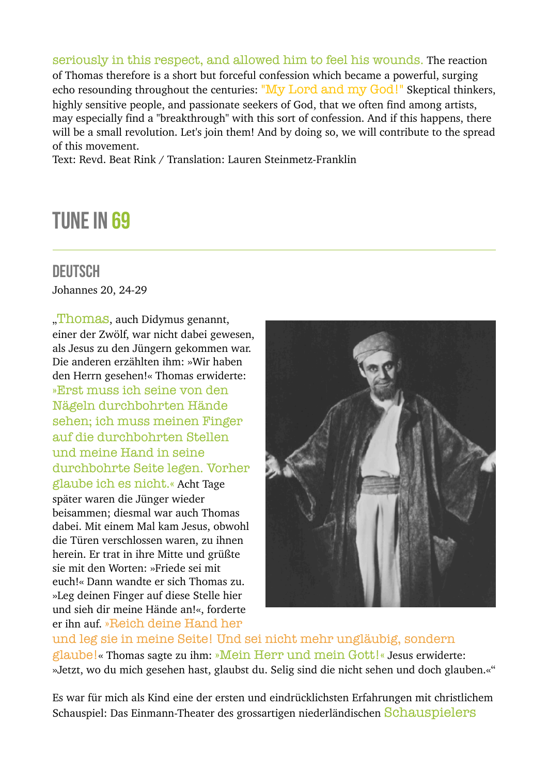seriously in this respect, and allowed him to feel his wounds. The reaction of Thomas therefore is a short but forceful confession which became a powerful, surging echo resounding throughout the centuries: "My Lord and my God!" Skeptical thinkers, highly sensitive people, and passionate seekers of God, that we often find among artists, may especially find a "breakthrough" with this sort of confession. And if this happens, there will be a small revolution. Let's join them! And by doing so, we will contribute to the spread of this movement.

Text: Revd. Beat Rink / Translation: Lauren Steinmetz-Franklin

## TUNE IN 69

## DEUTSCH

Johannes 20, 24-29

"Thomas, auch Didymus genannt, einer der Zwölf, war nicht dabei gewesen, als Jesus zu den Jüngern gekommen war. Die anderen erzählten ihm: »Wir haben den Herrn gesehen!« Thomas erwiderte: »Erst muss ich seine von den Nägeln durchbohrten Hände sehen; ich muss meinen Finger auf die durchbohrten Stellen und meine Hand in seine durchbohrte Seite legen. Vorher glaube ich es nicht.« Acht Tage später waren die Jünger wieder beisammen; diesmal war auch Thomas dabei. Mit einem Mal kam Jesus, obwohl die Türen verschlossen waren, zu ihnen herein. Er trat in ihre Mitte und grüßte sie mit den Worten: »Friede sei mit euch!« Dann wandte er sich Thomas zu. »Leg deinen Finger auf diese Stelle hier und sieh dir meine Hände an!«, forderte er ihn auf. »Reich deine Hand her



und leg sie in meine Seite! Und sei nicht mehr ungläubig, sondern glaube!« Thomas sagte zu ihm: »Mein Herr und mein Gott!« Jesus erwiderte: »Jetzt, wo du mich gesehen hast, glaubst du. Selig sind die nicht sehen und doch glauben.«"

Es war für mich als Kind eine der ersten und eindrücklichsten Erfahrungen mit christlichem Schauspiel: Das Einmann-Theater des grossartigen niederländischen Schauspielers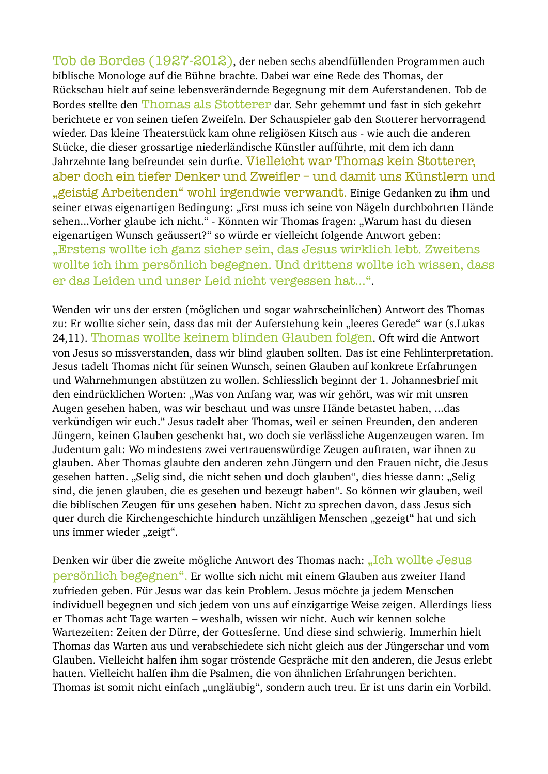Tob de Bordes (1927-2012), der neben sechs abendfüllenden Programmen auch biblische Monologe auf die Bühne brachte. Dabei war eine Rede des Thomas, der Rückschau hielt auf seine lebensverändernde Begegnung mit dem Auferstandenen. Tob de Bordes stellte den Thomas als Stotterer dar. Sehr gehemmt und fast in sich gekehrt berichtete er von seinen tiefen Zweifeln. Der Schauspieler gab den Stotterer hervorragend wieder. Das kleine Theaterstück kam ohne religiösen Kitsch aus - wie auch die anderen Stücke, die dieser grossartige niederländische Künstler aufführte, mit dem ich dann Jahrzehnte lang befreundet sein durfte. Vielleicht war Thomas kein Stotterer, aber doch ein tiefer Denker und Zweifler – und damit uns Künstlern und "geistig Arbeitenden" wohl irgendwie verwandt. Einige Gedanken zu ihm und seiner etwas eigenartigen Bedingung: "Erst muss ich seine von Nägeln durchbohrten Hände sehen...Vorher glaube ich nicht." - Könnten wir Thomas fragen: "Warum hast du diesen eigenartigen Wunsch geäussert?" so würde er vielleicht folgende Antwort geben: "Erstens wollte ich ganz sicher sein, das Jesus wirklich lebt. Zweitens wollte ich ihm persönlich begegnen. Und drittens wollte ich wissen, dass er das Leiden und unser Leid nicht vergessen hat...".

Wenden wir uns der ersten (möglichen und sogar wahrscheinlichen) Antwort des Thomas zu: Er wollte sicher sein, dass das mit der Auferstehung kein "leeres Gerede" war (s.Lukas 24,11). Thomas wollte keinem blinden Glauben folgen. Oft wird die Antwort von Jesus so missverstanden, dass wir blind glauben sollten. Das ist eine Fehlinterpretation. Jesus tadelt Thomas nicht für seinen Wunsch, seinen Glauben auf konkrete Erfahrungen und Wahrnehmungen abstützen zu wollen. Schliesslich beginnt der 1. Johannesbrief mit den eindrücklichen Worten: "Was von Anfang war, was wir gehört, was wir mit unsren Augen gesehen haben, was wir beschaut und was unsre Hände betastet haben, ...das verkündigen wir euch." Jesus tadelt aber Thomas, weil er seinen Freunden, den anderen Jüngern, keinen Glauben geschenkt hat, wo doch sie verlässliche Augenzeugen waren. Im Judentum galt: Wo mindestens zwei vertrauenswürdige Zeugen auftraten, war ihnen zu glauben. Aber Thomas glaubte den anderen zehn Jüngern und den Frauen nicht, die Jesus gesehen hatten. "Selig sind, die nicht sehen und doch glauben", dies hiesse dann: "Selig sind, die jenen glauben, die es gesehen und bezeugt haben". So können wir glauben, weil die biblischen Zeugen für uns gesehen haben. Nicht zu sprechen davon, dass Jesus sich quer durch die Kirchengeschichte hindurch unzähligen Menschen "gezeigt" hat und sich uns immer wieder "zeigt".

Denken wir über die zweite mögliche Antwort des Thomas nach: "Ich wollte Jesus persönlich begegnen". Er wollte sich nicht mit einem Glauben aus zweiter Hand zufrieden geben. Für Jesus war das kein Problem. Jesus möchte ja jedem Menschen individuell begegnen und sich jedem von uns auf einzigartige Weise zeigen. Allerdings liess er Thomas acht Tage warten – weshalb, wissen wir nicht. Auch wir kennen solche Wartezeiten: Zeiten der Dürre, der Gottesferne. Und diese sind schwierig. Immerhin hielt Thomas das Warten aus und verabschiedete sich nicht gleich aus der Jüngerschar und vom Glauben. Vielleicht halfen ihm sogar tröstende Gespräche mit den anderen, die Jesus erlebt hatten. Vielleicht halfen ihm die Psalmen, die von ähnlichen Erfahrungen berichten. Thomas ist somit nicht einfach "ungläubig", sondern auch treu. Er ist uns darin ein Vorbild.